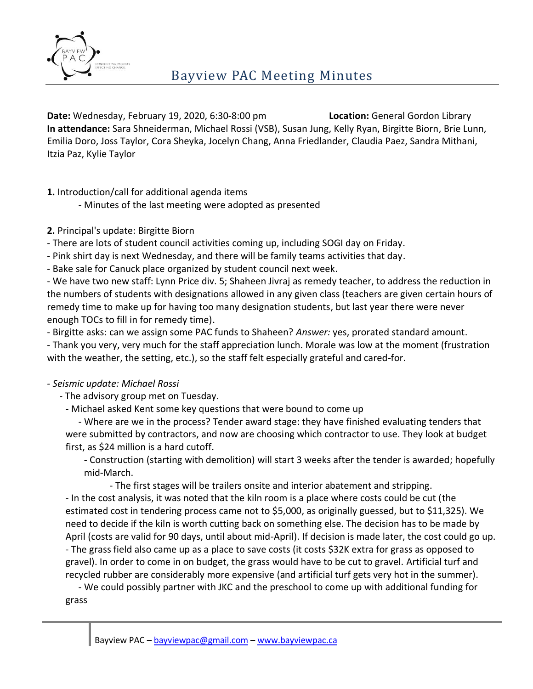

**Date:** Wednesday, February 19, 2020, 6:30-8:00 pm **Location:** General Gordon Library **In attendance:** Sara Shneiderman, Michael Rossi (VSB), Susan Jung, Kelly Ryan, Birgitte Biorn, Brie Lunn, Emilia Doro, Joss Taylor, Cora Sheyka, Jocelyn Chang, Anna Friedlander, Claudia Paez, Sandra Mithani, Itzia Paz, Kylie Taylor

**1.** Introduction/call for additional agenda items

- Minutes of the last meeting were adopted as presented

**2.** Principal's update: Birgitte Biorn

- There are lots of student council activities coming up, including SOGI day on Friday.

- Pink shirt day is next Wednesday, and there will be family teams activities that day.

- Bake sale for Canuck place organized by student council next week.

- We have two new staff: Lynn Price div. 5; Shaheen Jivraj as remedy teacher, to address the reduction in the numbers of students with designations allowed in any given class (teachers are given certain hours of remedy time to make up for having too many designation students, but last year there were never enough TOCs to fill in for remedy time).

- Birgitte asks: can we assign some PAC funds to Shaheen? *Answer:* yes, prorated standard amount.

- Thank you very, very much for the staff appreciation lunch. Morale was low at the moment (frustration with the weather, the setting, etc.), so the staff felt especially grateful and cared-for.

## *- Seismic update: Michael Rossi*

- The advisory group met on Tuesday.

- Michael asked Kent some key questions that were bound to come up

- Where are we in the process? Tender award stage: they have finished evaluating tenders that were submitted by contractors, and now are choosing which contractor to use. They look at budget first, as \$24 million is a hard cutoff.

- Construction (starting with demolition) will start 3 weeks after the tender is awarded; hopefully mid-March.

- The first stages will be trailers onsite and interior abatement and stripping.

- In the cost analysis, it was noted that the kiln room is a place where costs could be cut (the estimated cost in tendering process came not to \$5,000, as originally guessed, but to \$11,325). We need to decide if the kiln is worth cutting back on something else. The decision has to be made by April (costs are valid for 90 days, until about mid-April). If decision is made later, the cost could go up. - The grass field also came up as a place to save costs (it costs \$32K extra for grass as opposed to gravel). In order to come in on budget, the grass would have to be cut to gravel. Artificial turf and recycled rubber are considerably more expensive (and artificial turf gets very hot in the summer).

- We could possibly partner with JKC and the preschool to come up with additional funding for grass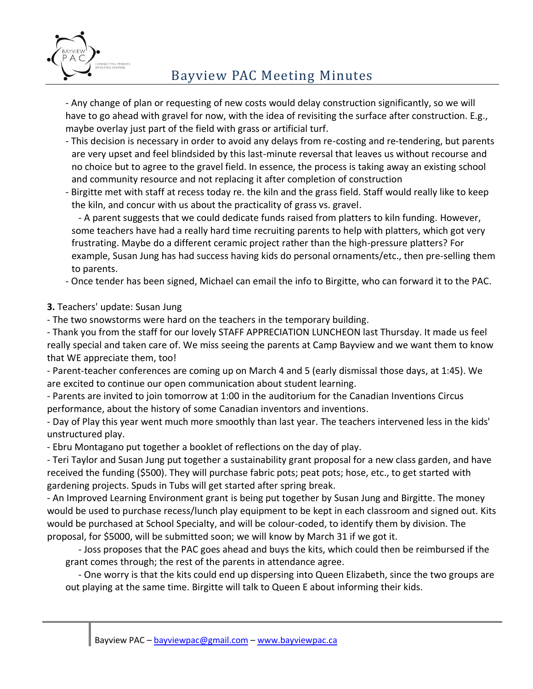

## Bayview PAC Meeting Minutes

- Any change of plan or requesting of new costs would delay construction significantly, so we will have to go ahead with gravel for now, with the idea of revisiting the surface after construction. E.g., maybe overlay just part of the field with grass or artificial turf.

- This decision is necessary in order to avoid any delays from re-costing and re-tendering, but parents are very upset and feel blindsided by this last-minute reversal that leaves us without recourse and no choice but to agree to the gravel field. In essence, the process is taking away an existing school and community resource and not replacing it after completion of construction
- Birgitte met with staff at recess today re. the kiln and the grass field. Staff would really like to keep the kiln, and concur with us about the practicality of grass vs. gravel.

- A parent suggests that we could dedicate funds raised from platters to kiln funding. However, some teachers have had a really hard time recruiting parents to help with platters, which got very frustrating. Maybe do a different ceramic project rather than the high-pressure platters? For example, Susan Jung has had success having kids do personal ornaments/etc., then pre-selling them to parents.

- Once tender has been signed, Michael can email the info to Birgitte, who can forward it to the PAC.

- **3.** Teachers' update: Susan Jung
- The two snowstorms were hard on the teachers in the temporary building.

- Thank you from the staff for our lovely STAFF APPRECIATION LUNCHEON last Thursday. It made us feel really special and taken care of. We miss seeing the parents at Camp Bayview and we want them to know that WE appreciate them, too!

- Parent-teacher conferences are coming up on March 4 and 5 (early dismissal those days, at 1:45). We are excited to continue our open communication about student learning.

- Parents are invited to join tomorrow at 1:00 in the auditorium for the Canadian Inventions Circus performance, about the history of some Canadian inventors and inventions.

- Day of Play this year went much more smoothly than last year. The teachers intervened less in the kids' unstructured play.

- Ebru Montagano put together a booklet of reflections on the day of play.

- Teri Taylor and Susan Jung put together a sustainability grant proposal for a new class garden, and have received the funding (\$500). They will purchase fabric pots; peat pots; hose, etc., to get started with gardening projects. Spuds in Tubs will get started after spring break.

- An Improved Learning Environment grant is being put together by Susan Jung and Birgitte. The money would be used to purchase recess/lunch play equipment to be kept in each classroom and signed out. Kits would be purchased at School Specialty, and will be colour-coded, to identify them by division. The proposal, for \$5000, will be submitted soon; we will know by March 31 if we got it.

- Joss proposes that the PAC goes ahead and buys the kits, which could then be reimbursed if the grant comes through; the rest of the parents in attendance agree.

- One worry is that the kits could end up dispersing into Queen Elizabeth, since the two groups are out playing at the same time. Birgitte will talk to Queen E about informing their kids.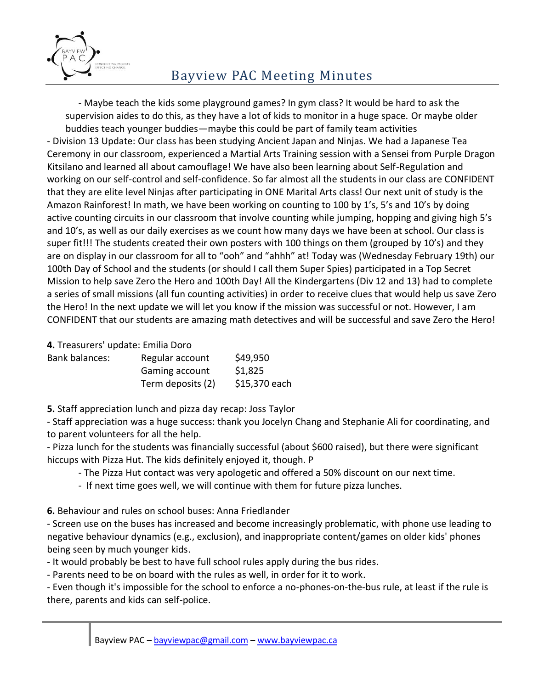

- Maybe teach the kids some playground games? In gym class? It would be hard to ask the supervision aides to do this, as they have a lot of kids to monitor in a huge space. Or maybe older buddies teach younger buddies—maybe this could be part of family team activities - Division 13 Update: Our class has been studying Ancient Japan and Ninjas. We had a Japanese Tea Ceremony in our classroom, experienced a Martial Arts Training session with a Sensei from Purple Dragon Kitsilano and learned all about camouflage! We have also been learning about Self-Regulation and working on our self-control and self-confidence. So far almost all the students in our class are CONFIDENT that they are elite level Ninjas after participating in ONE Marital Arts class! Our next unit of study is the Amazon Rainforest! In math, we have been working on counting to 100 by 1's, 5's and 10's by doing active counting circuits in our classroom that involve counting while jumping, hopping and giving high 5's and 10's, as well as our daily exercises as we count how many days we have been at school. Our class is super fit!!! The students created their own posters with 100 things on them (grouped by 10's) and they are on display in our classroom for all to "ooh" and "ahhh" at! Today was (Wednesday February 19th) our 100th Day of School and the students (or should I call them Super Spies) participated in a Top Secret Mission to help save Zero the Hero and 100th Day! All the Kindergartens (Div 12 and 13) had to complete a series of small missions (all fun counting activities) in order to receive clues that would help us save Zero the Hero! In the next update we will let you know if the mission was successful or not. However, I am CONFIDENT that our students are amazing math detectives and will be successful and save Zero the Hero!

**4.** Treasurers' update: Emilia Doro

| Bank balances: | Regular account   | \$49,950      |
|----------------|-------------------|---------------|
|                | Gaming account    | \$1,825       |
|                | Term deposits (2) | \$15,370 each |

**5.** Staff appreciation lunch and pizza day recap: Joss Taylor

- Staff appreciation was a huge success: thank you Jocelyn Chang and Stephanie Ali for coordinating, and to parent volunteers for all the help.

- Pizza lunch for the students was financially successful (about \$600 raised), but there were significant hiccups with Pizza Hut. The kids definitely enjoyed it, though. P

- The Pizza Hut contact was very apologetic and offered a 50% discount on our next time.

- If next time goes well, we will continue with them for future pizza lunches.
- **6.** Behaviour and rules on school buses: Anna Friedlander

- Screen use on the buses has increased and become increasingly problematic, with phone use leading to negative behaviour dynamics (e.g., exclusion), and inappropriate content/games on older kids' phones being seen by much younger kids.

- It would probably be best to have full school rules apply during the bus rides.

- Parents need to be on board with the rules as well, in order for it to work.

- Even though it's impossible for the school to enforce a no-phones-on-the-bus rule, at least if the rule is there, parents and kids can self-police.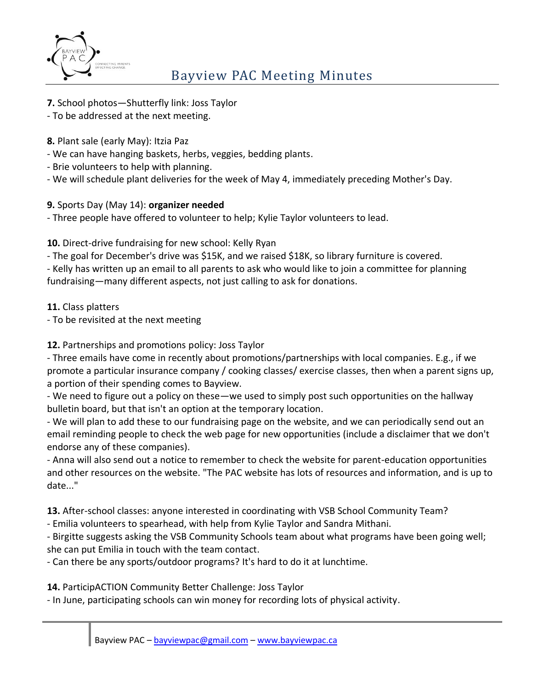

**7.** School photos—Shutterfly link: Joss Taylor

- To be addressed at the next meeting.

- **8.** Plant sale (early May): Itzia Paz
- We can have hanging baskets, herbs, veggies, bedding plants.
- Brie volunteers to help with planning.
- We will schedule plant deliveries for the week of May 4, immediately preceding Mother's Day.

## **9.** Sports Day (May 14): **organizer needed**

- Three people have offered to volunteer to help; Kylie Taylor volunteers to lead.

**10.** Direct-drive fundraising for new school: Kelly Ryan

- The goal for December's drive was \$15K, and we raised \$18K, so library furniture is covered.

- Kelly has written up an email to all parents to ask who would like to join a committee for planning fundraising—many different aspects, not just calling to ask for donations.

**11.** Class platters

- To be revisited at the next meeting

**12.** Partnerships and promotions policy: Joss Taylor

- Three emails have come in recently about promotions/partnerships with local companies. E.g., if we promote a particular insurance company / cooking classes/ exercise classes, then when a parent signs up, a portion of their spending comes to Bayview.

- We need to figure out a policy on these—we used to simply post such opportunities on the hallway bulletin board, but that isn't an option at the temporary location.

- We will plan to add these to our fundraising page on the website, and we can periodically send out an email reminding people to check the web page for new opportunities (include a disclaimer that we don't endorse any of these companies).

- Anna will also send out a notice to remember to check the website for parent-education opportunities and other resources on the website. "The PAC website has lots of resources and information, and is up to date..."

**13.** After-school classes: anyone interested in coordinating with VSB School Community Team?

- Emilia volunteers to spearhead, with help from Kylie Taylor and Sandra Mithani.

- Birgitte suggests asking the VSB Community Schools team about what programs have been going well; she can put Emilia in touch with the team contact.

- Can there be any sports/outdoor programs? It's hard to do it at lunchtime.

**14.** ParticipACTION Community Better Challenge: Joss Taylor

- In June, participating schools can win money for recording lots of physical activity.